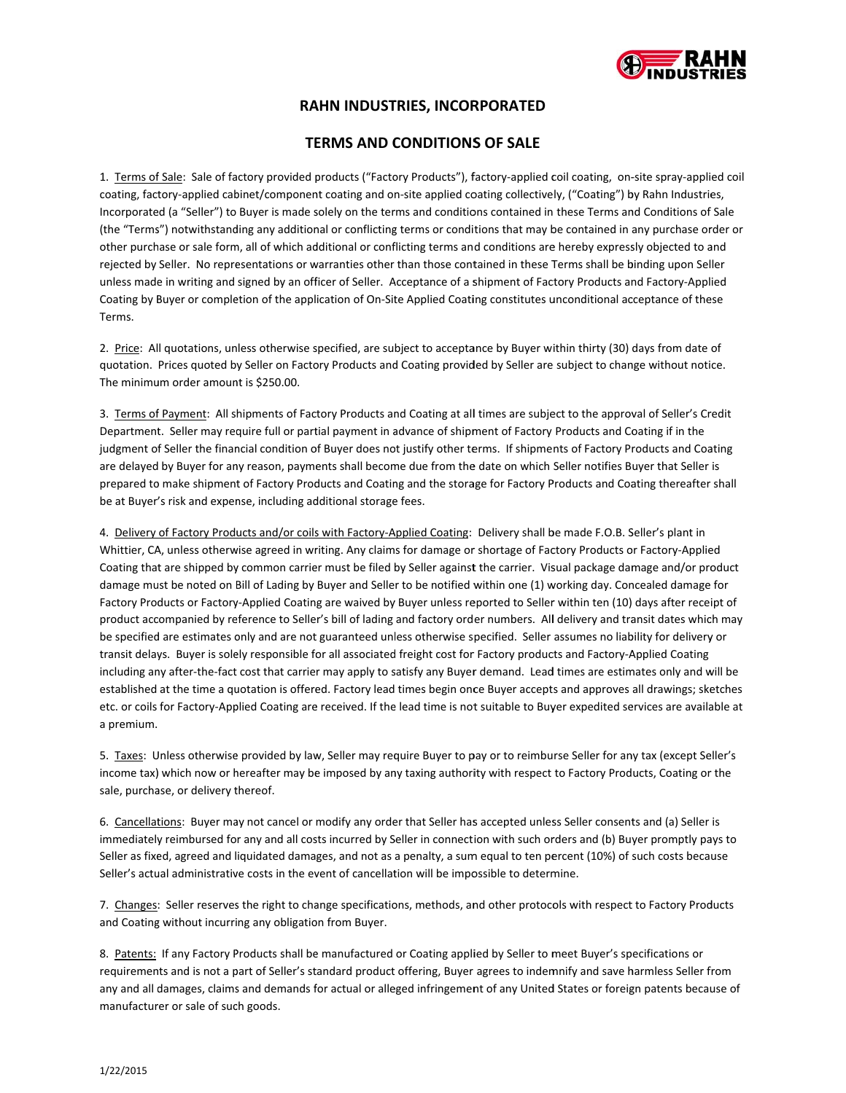

# **RA AHN INDUST TRIES, INCOR RPORATED**

## **TE ERMS AND C CONDITIONS S OF SALE**

1. Terms of Sale: Sale of factory provided products ("Factory Products"), factory-applied coil coating, on-site spray-applied coil coating, factory-applied cabinet/component coating and on-site applied coating collectively, ("Coating") by Rahn Industries, Incorporated (a "Seller") to Buyer is made solely on the terms and conditions contained in these Terms and Conditions of Sale (the "Terms") notwithstanding any additional or conflicting terms or conditions that may be contained in any purchase order or other purchase or sale form, all of which additional or conflicting terms and conditions are hereby expressly objected to and rejected by Seller. No representations or warranties other than those contained in these Terms shall be binding upon Seller unless made in writing and signed by an officer of Seller. Acceptance of a shipment of Factory Products and Factory-Applied Coating by Buyer or completion of the application of On-Site Applied Coating constitutes unconditional acceptance of these Terms.

2. Price: All quotations, unless otherwise specified, are subject to acceptance by Buyer within thirty (30) days from date of quotation. Prices quoted by Seller on Factory Products and Coating provided by Seller are subject to change without notice. The minimum order amount is \$250.00.

3. Terms of Payment: All shipments of Factory Products and Coating at all times are subject to the approval of Seller's Credit Department. Seller may require full or partial payment in advance of shipment of Factory Products and Coating if in the judgment of Seller the financial condition of Buyer does not justify other terms. If shipments of Factory Products and Coating are delayed by Buyer for any reason, payments shall become due from the date on which Seller notifies Buyer that Seller is prepared to make shipment of Factory Products and Coating and the storage for Factory Products and Coating thereafter shall be at Buyer's risk and expense, including additional storage fees.

4. Delivery of Factory Products and/or coils with Factory-Applied Coating: Delivery shall be made F.O.B. Seller's plant in Whittier, CA, unless otherwise agreed in writing. Any claims for damage or shortage of Factory Products or Factory-Applied Coating that are shipped by common carrier must be filed by Seller against the carrier. Visual package damage and/or product damage must be noted on Bill of Lading by Buyer and Seller to be notified within one (1) working day. Concealed damage for Factory Products or Factory-Applied Coating are waived by Buyer unless reported to Seller within ten (10) days after receipt of product accompanied by reference to Seller's bill of lading and factory order numbers. All delivery and transit dates which may be specified are estimates only and are not guaranteed unless otherwise specified. Seller assumes no liability for delivery or transit delays. Buyer is solely responsible for all associated freight cost for Factory products and Factory-Applied Coating including any after-the-fact cost that carrier may apply to satisfy any Buyer demand. Lead times are estimates only and will be established at the time a quotation is offered. Factory lead times begin once Buyer accepts and approves all drawings; sketches etc. or coils for Factory-Applied Coating are received. If the lead time is not suitable to Buyer expedited services are available at a premium.

5. Taxes: Unless otherwise provided by law, Seller may require Buyer to pay or to reimburse Seller for any tax (except Seller's income tax) which now or hereafter may be imposed by any taxing authority with respect to Factory Products, Coating or the sale, purchase, or delivery thereof.

6. Cancellations: Buyer may not cancel or modify any order that Seller has accepted unless Seller consents and (a) Seller is immediately reimbursed for any and all costs incurred by Seller in connection with such orders and (b) Buyer promptly pays to Seller as fixed, agreed and liquidated damages, and not as a penalty, a sum equal to ten percent (10%) of such costs because Seller's actual administrative costs in the event of cancellation will be impossible to determine.

7. Changes: Seller reserves the right to change specifications, methods, and other protocols with respect to Factory Products and Coating without incurring any obligation from Buyer.

8. Patents: If any Factory Products shall be manufactured or Coating applied by Seller to meet Buyer's specifications or requirements and is not a part of Seller's standard product offering, Buyer agrees to indemnify and save harmless Seller from any and all damages, claims and demands for actual or alleged infringement of any United States or foreign patents because of manufacturer or sale of such goods.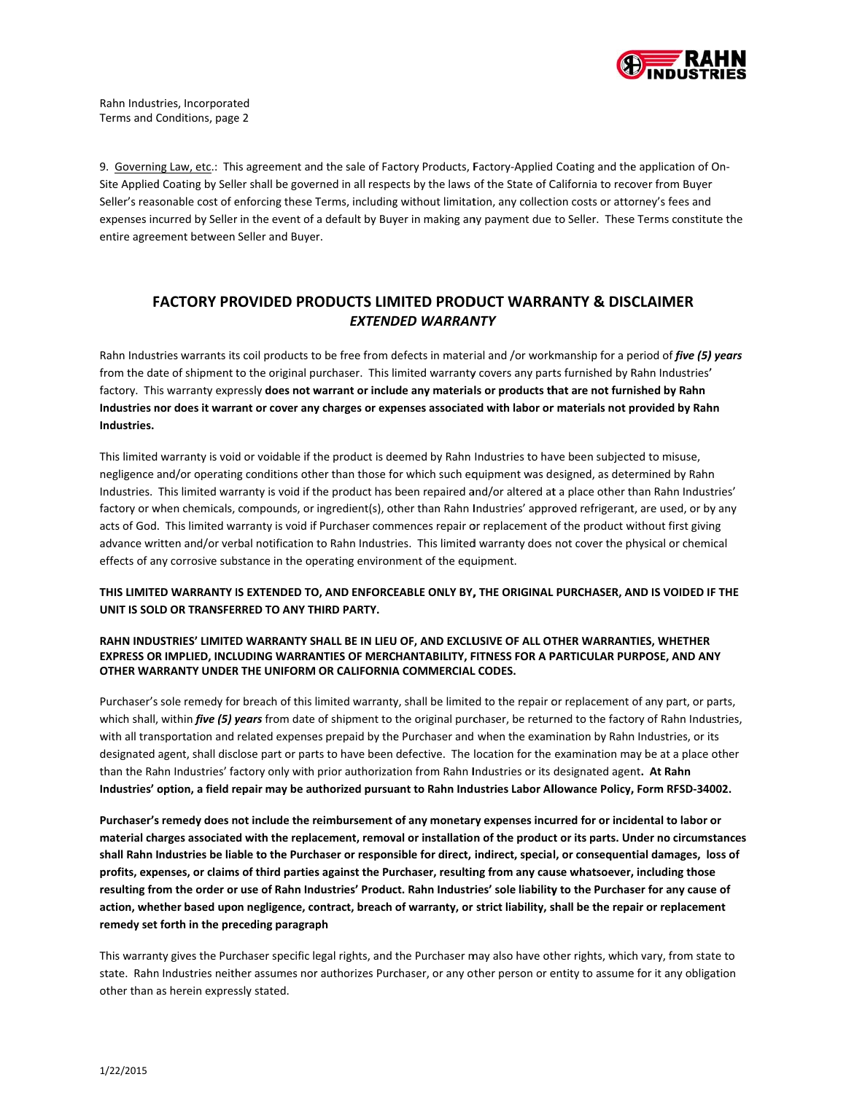

9. Governing Law, etc.: This agreement and the sale of Factory Products, Factory-Applied Coating and the application of On-Site Applied Coating by Seller shall be governed in all respects by the laws of the State of California to recover from Buyer Seller's reasonable cost of enforcing these Terms, including without limitation, any collection costs or attorney's fees and Site Applied Coating by Seller shall be governed in all respects by the laws of the State of California to recover from Buyer<br>Seller's reasonable cost of enforcing these Terms, including without limitation, any collection entire agree ement between Seller and Buye r.

## **F FACTORY PR ROVIDED PRO ODUCTS LIM MITED PROD DUCT WARRA ANTY & DIS CLAIMER** *EXTEND DED WARRAN NTY*

Rahn Industries warrants its coil products to be free from defects in material and /or workmanship for a period of *five (5) years* from the date of shipment to the original purchaser. This limited warranty covers any parts furnished by Rahn Industries' factory. This warranty expressly **does not warrant or include any materials or products that are not furnished by Rahn** Industries nor does it warrant or cover any charges or expenses associated with labor or materials not provided by Rahn **Industries.**

This limited warranty is void or voidable if the product is deemed by Rahn Industries to have been subjected to misuse, negligence and/or operating conditions other than those for which such equipment was designed, as determined by Rahn negligence and/or operating conditions other than those for which such equipment was designed, as determined by Rahn<br>Industries. This limited warranty is void if the product has been repaired and/or altered at a place othe factory or when chemicals, compounds, or ingredient(s), other than Rahn Industries' approved refrigerant, are used, or by any acts of God. This limited warranty is void if Purchaser commences repair or replacement of the product without first giving advance written and/or verbal notification to Rahn Industries. This limited warranty does not cover the physical or chemical effects of any corrosive substance in the operating environment of the equipment.

THIS LIMITED WARRANTY IS EXTENDED TO, AND ENFORCEABLE ONLY BY, THE ORIGINAL PURCHASER, AND IS VOIDED IF THE **UNIT IS SOL LD OR TRANSFER RRED TO ANY TH HIRD PARTY.**

#### RAHN INDUSTRIES' LIMITED WARRANTY SHALL BE IN LIEU OF, AND EXCLUSIVE OF ALL OTHER WARRANTIES, WHETHER EXPRESS OR IMPLIED, INCLUDING WARRANTIES OF MERCHANTABILITY, FITNESS FOR A PARTICULAR PURPOSE, AND ANY **OTHER WAR RRANTY UNDER R THE UNIFORM OR CALIFORNIA A COMMERCIAL L CODES.**

Purchaser's sole remedy for breach of this limited warranty, shall be limited to the repair or replacement of any part, or parts, which shall, within *five (5) years* from date of shipment to the original purchaser, be returned to the factory of Rahn Industries, with all transportation and related expenses prepaid by the Purchaser and when the examination by Rahn Industries, or its designated agent, shall disclose part or parts to have been defective. The location for the examination may be at a place other than the Rahn Industries' factory only with prior authorization from Rahn Industries or its designated agent. At Rahn Industries' option, a field repair may be authorized pursuant to Rahn Industries Labor Allowance Policy, Form RFSD-34002.

Purchaser's remedy does not include the reimbursement of any monetary expenses incurred for or incidental to labor or material charges associated with the replacement, removal or installation of the product or its parts. Under no circumstances shall Rahn Industries be liable to the Purchaser or responsible for direct, indirect, special, or consequential damages, loss of profits, expenses, or claims of third parties against the Purchaser, resulting from any cause whatsoever, including those profits, expenses, or claims of third parties against the Purchaser, resulting from any cause whatsoever, including those<br>resulting from the order or use of Rahn Industries' Product. Rahn Industries' sole liability to the action, whether based upon negligence, contract, breach of warranty, or strict liability, shall be the repair or replacement **remedy set forth in the pre eceding paragrap ph**

This warranty gives the Purchaser specific legal rights, and the Purchaser may also have other rights, which vary, from state to state. Rahn Industries neither assumes nor authorizes Purchaser, or any other person or entity to assume for it any obligation other than as herein expressly stated.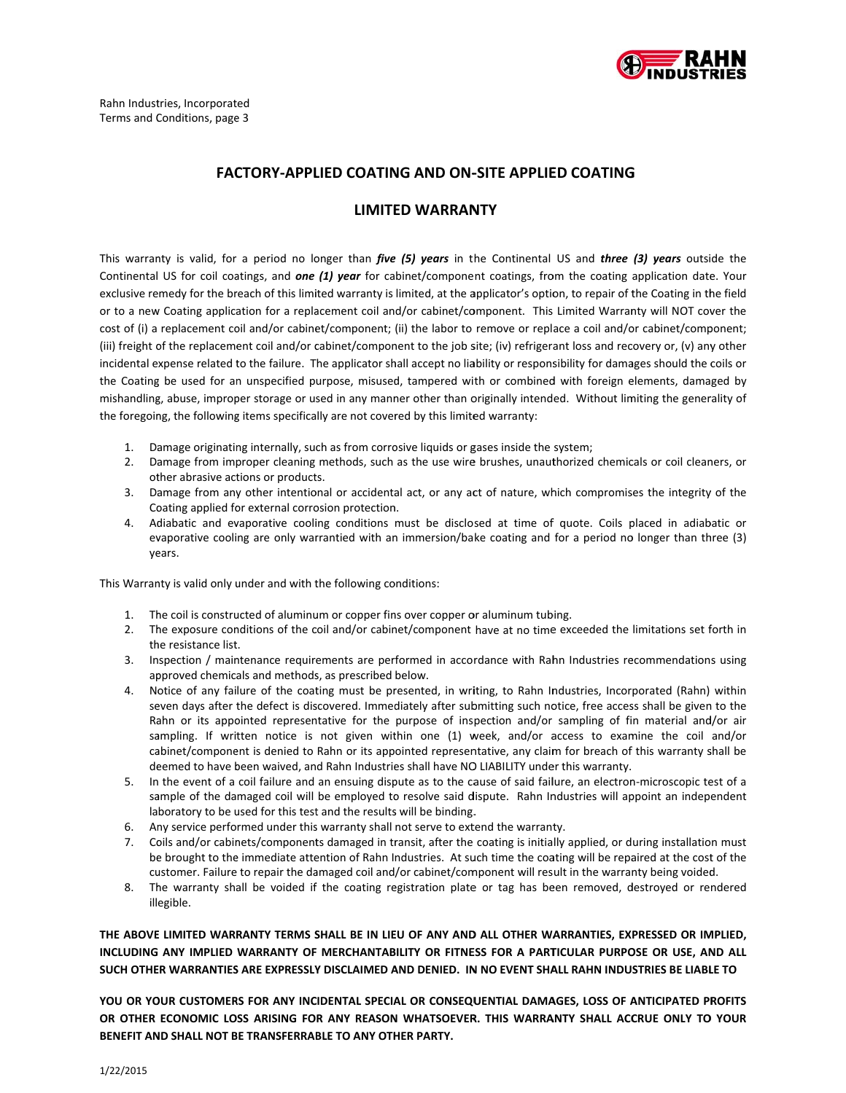

#### **FACTORY-APPLIED COATING AND ON-SITE APPLIED COATING**

### **LIMITED WARRANTY**

This warranty is valid, for a period no longer than five (5) years in the Continental US and three (3) years outside the Continental US for coil coatings, and one (1) year for cabinet/component coatings, from the coating application date. Your exclusive remedy for the breach of this limited warranty is limited, at the applicator's option, to repair of the Coating in the field or to a new Coating application for a replacement coil and/or cabinet/component. This Limited Warranty will NOT cover the cost of (i) a replacement coil and/or cabinet/component; (ii) the labor to remove or replace a coil and/or cabinet/component; (iii) freight of the replacement coil and/or cabinet/component to the job site; (iv) refrigerant loss and recovery or, (v) any other incidental expense related to the failure. The applicator shall accept no liability or responsibility for damages should the coils or the Coating be used for an unspecified purpose, misused, tampered with or combined with foreign elements, damaged by mishandling, abuse, improper storage or used in any manner other than originally intended. Without limiting the generality of the foregoing, the following items specifically are not covered by this limited warranty:

- 1. Damage originating internally, such as from corrosive liquids or gases inside the system;
- 2. Damage from improper cleaning methods, such as the use wire brushes, unauthorized chemicals or coil cleaners, or other abrasive actions or products.
- 3. Damage from any other intentional or accidental act, or any act of nature, which compromises the integrity of the Coating applied for external corrosion protection.
- 4. Adiabatic and evaporative cooling conditions must be disclosed at time of quote. Coils placed in adiabatic or evaporative cooling are only warrantied with an immersion/bake coating and for a period no longer than three (3) vears.

This Warranty is valid only under and with the following conditions:

- 1. The coil is constructed of aluminum or copper fins over copper or aluminum tubing.
- 2. The exposure conditions of the coil and/or cabinet/component have at no time exceeded the limitations set forth in the resistance list.
- 3. Inspection / maintenance requirements are performed in accordance with Rahn Industries recommendations using approved chemicals and methods, as prescribed below.
- 4. Notice of any failure of the coating must be presented, in writing, to Rahn Industries, Incorporated (Rahn) within seven days after the defect is discovered. Immediately after submitting such notice, free access shall be given to the Rahn or its appointed representative for the purpose of inspection and/or sampling of fin material and/or air sampling. If written notice is not given within one (1) week, and/or access to examine the coil and/or cabinet/component is denied to Rahn or its appointed representative, any claim for breach of this warranty shall be deemed to have been waived, and Rahn Industries shall have NO LIABILITY under this warranty.
- 5. In the event of a coil failure and an ensuing dispute as to the cause of said failure, an electron-microscopic test of a sample of the damaged coil will be employed to resolve said dispute. Rahn Industries will appoint an independent laboratory to be used for this test and the results will be binding.
- 6. Any service performed under this warranty shall not serve to extend the warranty.
- 7. Coils and/or cabinets/components damaged in transit, after the coating is initially applied, or during installation must be brought to the immediate attention of Rahn Industries. At such time the coating will be repaired at the cost of the customer. Failure to repair the damaged coil and/or cabinet/component will result in the warranty being voided.
- 8. The warranty shall be voided if the coating registration plate or tag has been removed, destroyed or rendered illegible.

THE ABOVE LIMITED WARRANTY TERMS SHALL BE IN LIEU OF ANY AND ALL OTHER WARRANTIES, EXPRESSED OR IMPLIED, INCLUDING ANY IMPLIED WARRANTY OF MERCHANTABILITY OR FITNESS FOR A PARTICULAR PURPOSE OR USE, AND ALL SUCH OTHER WARRANTIES ARE EXPRESSLY DISCLAIMED AND DENIED. IN NO EVENT SHALL RAHN INDUSTRIES BE LIABLE TO

YOU OR YOUR CUSTOMERS FOR ANY INCIDENTAL SPECIAL OR CONSEQUENTIAL DAMAGES, LOSS OF ANTICIPATED PROFITS OR OTHER ECONOMIC LOSS ARISING FOR ANY REASON WHATSOEVER. THIS WARRANTY SHALL ACCRUE ONLY TO YOUR BENEFIT AND SHALL NOT BE TRANSFERRABLE TO ANY OTHER PARTY.